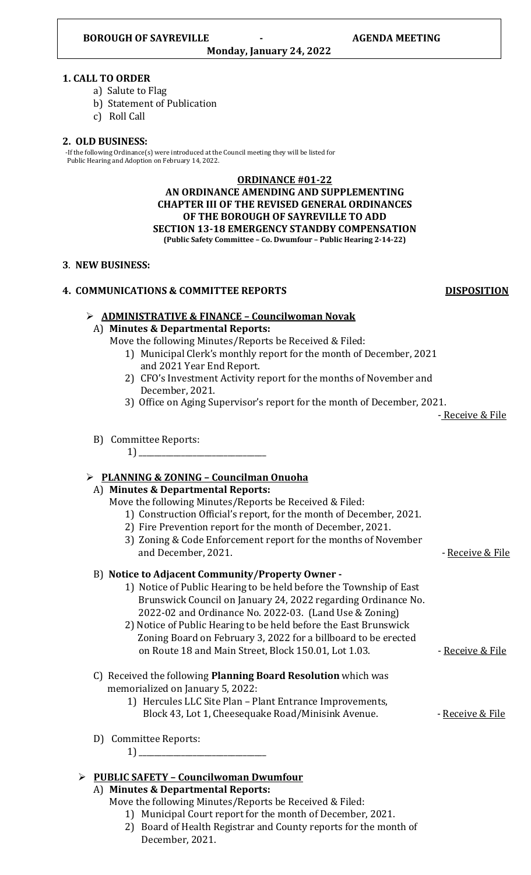#### **1. CALL TO ORDER**

- a) Salute to Flag
- b) Statement of Publication
- c) Roll Call

## **2. OLD BUSINESS:**

 -If the following Ordinance(s) were introduced at the Council meeting they will be listed for Public Hearing and Adoption on February 14, 2022.

#### **ORDINANCE #01-22**

**AN ORDINANCE AMENDING AND SUPPLEMENTING CHAPTER III OF THE REVISED GENERAL ORDINANCES OF THE BOROUGH OF SAYREVILLE TO ADD SECTION 13-18 EMERGENCY STANDBY COMPENSATION (Public Safety Committee – Co. Dwumfour – Public Hearing 2-14-22)**

#### **3**. **NEW BUSINESS:**

## **4. COMMUNICATIONS & COMMITTEE REPORTS DISPOSITION**

# ➢ **ADMINISTRATIVE & FINANCE – Councilwoman Novak** A) **Minutes & Departmental Reports:**  Move the following Minutes/Reports be Received & Filed: 1) Municipal Clerk's monthly report for the month of December, 2021 and 2021 Year End Report. 2) CFO's Investment Activity report for the months of November and December, 2021. 3) Office on Aging Supervisor's report for the month of December, 2021. - Receive & File B) Committee Reports: 1) \_\_\_\_\_\_\_\_\_\_\_\_\_\_\_\_\_\_\_\_\_\_\_\_\_\_\_\_\_\_\_\_\_ ➢ **PLANNING & ZONING – Councilman Onuoha** A) **Minutes & Departmental Reports:**  Move the following Minutes/Reports be Received & Filed: 1) Construction Official's report, for the month of December, 2021. 2) Fire Prevention report for the month of December, 2021. 3) Zoning & Code Enforcement report for the months of November and December, 2021. The contract of the Receive & File B) **Notice to Adjacent Community/Property Owner -** 1) Notice of Public Hearing to be held before the Township of East Brunswick Council on January 24, 2022 regarding Ordinance No. 2022-02 and Ordinance No. 2022-03. (Land Use & Zoning) 2) Notice of Public Hearing to be held before the East Brunswick Zoning Board on February 3, 2022 for a billboard to be erected on Route 18 and Main Street, Block 150.01, Lot 1.03. - The Receive & File C) Received the following **Planning Board Resolution** which was memorialized on January 5, 2022: 1) Hercules LLC Site Plan – Plant Entrance Improvements, Block 43, Lot 1, Cheesequake Road/Minisink Avenue. - - Receive & File

- D) Committee Reports:
- 1) \_\_\_\_\_\_\_\_\_\_\_\_\_\_\_\_\_\_\_\_\_\_\_\_\_\_\_\_\_\_\_\_\_

# ➢ **PUBLIC SAFETY – Councilwoman Dwumfour**

## A) **Minutes & Departmental Reports:**

- Move the following Minutes/Reports be Received & Filed:
	- 1) Municipal Court report for the month of December, 2021.
	- 2) Board of Health Registrar and County reports for the month of December, 2021.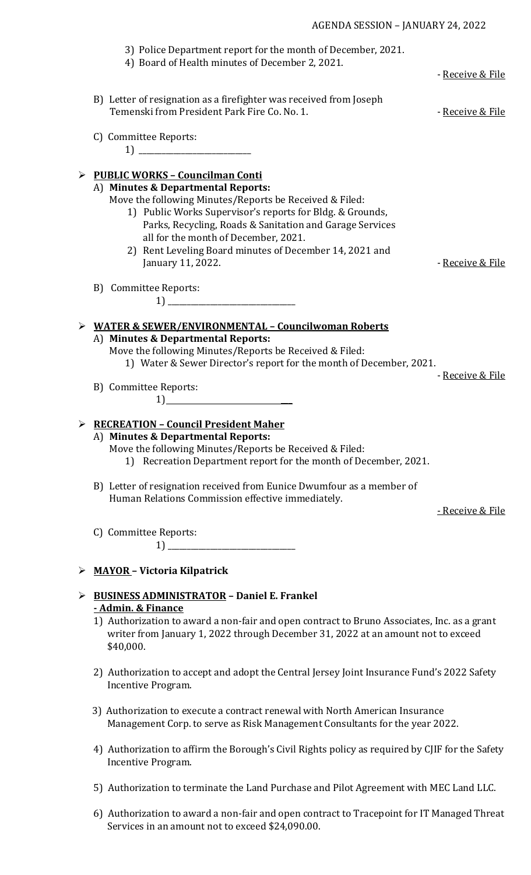|   | AGENDA SESSION - JANUARY 24, 2022                                                                                  |                             |
|---|--------------------------------------------------------------------------------------------------------------------|-----------------------------|
|   | 3) Police Department report for the month of December, 2021.<br>4) Board of Health minutes of December 2, 2021.    |                             |
|   |                                                                                                                    | - Receive & File            |
|   | B) Letter of resignation as a firefighter was received from Joseph<br>Temenski from President Park Fire Co. No. 1. | - Receive & File            |
|   | C) Committee Reports:                                                                                              |                             |
| ➤ | <b>PUBLIC WORKS - Councilman Conti</b>                                                                             |                             |
|   | A) Minutes & Departmental Reports:                                                                                 |                             |
|   | Move the following Minutes/Reports be Received & Filed:                                                            |                             |
|   | 1) Public Works Supervisor's reports for Bldg. & Grounds,                                                          |                             |
|   | Parks, Recycling, Roads & Sanitation and Garage Services                                                           |                             |
|   | all for the month of December, 2021.                                                                               |                             |
|   | 2) Rent Leveling Board minutes of December 14, 2021 and                                                            |                             |
|   | January 11, 2022.                                                                                                  | - Receive & File            |
|   |                                                                                                                    |                             |
|   | B) Committee Reports:<br>$\begin{array}{c} \n 1) \end{array}$                                                      |                             |
|   |                                                                                                                    |                             |
| ➤ | <b>WATER &amp; SEWER/ENVIRONMENTAL - Councilwoman Roberts</b>                                                      |                             |
|   | A) Minutes & Departmental Reports:                                                                                 |                             |
|   | Move the following Minutes/Reports be Received & Filed:                                                            |                             |
|   | 1) Water & Sewer Director's report for the month of December, 2021.                                                |                             |
|   |                                                                                                                    | <u>- Receive &amp; File</u> |
|   | B) Committee Reports:                                                                                              |                             |
|   | 1)                                                                                                                 |                             |
|   |                                                                                                                    |                             |
|   | <b>RECREATION - Council President Maher</b>                                                                        |                             |
|   | A) Minutes & Departmental Reports:                                                                                 |                             |
|   | Move the following Minutes/Reports be Received & Filed:                                                            |                             |
|   | 1) Recreation Department report for the month of December, 2021.                                                   |                             |
|   | B) Letter of resignation received from Eunice Dwumfour as a member of                                              |                             |
|   | Human Relations Commission effective immediately.                                                                  |                             |
|   |                                                                                                                    | <u>- Receive &amp; File</u> |
|   |                                                                                                                    |                             |
|   | C) Committee Reports:                                                                                              |                             |
|   |                                                                                                                    |                             |
|   |                                                                                                                    |                             |
| ➤ | <b>MAYOR - Victoria Kilpatrick</b>                                                                                 |                             |
|   |                                                                                                                    |                             |
|   | <b>BUSINESS ADMINISTRATOR - Daniel E. Frankel</b><br>- Admin. & Finance                                            |                             |
|   | 1) Authorization to award a non-fair and open contract to Bruno Associates, Inc. as a grant                        |                             |
|   | writer from January 1, 2022 through December 31, 2022 at an amount not to exceed                                   |                             |
|   |                                                                                                                    |                             |

- 2) Authorization to accept and adopt the Central Jersey Joint Insurance Fund's 2022 Safety Incentive Program.
- 3) Authorization to execute a contract renewal with North American Insurance Management Corp. to serve as Risk Management Consultants for the year 2022.

\$40,000.

- 4) Authorization to affirm the Borough's Civil Rights policy as required by CJIF for the Safety Incentive Program.
- 5) Authorization to terminate the Land Purchase and Pilot Agreement with MEC Land LLC.
- 6) Authorization to award a non-fair and open contract to Tracepoint for IT Managed Threat Services in an amount not to exceed \$24,090.00.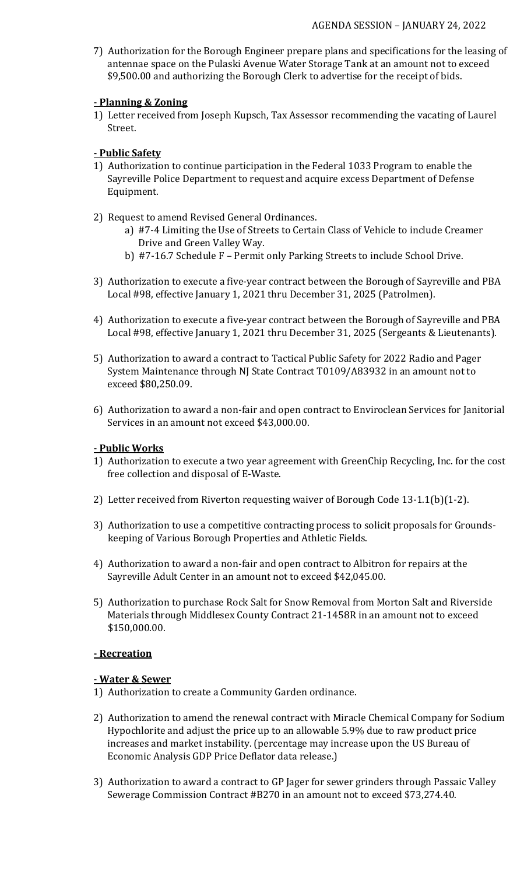7) Authorization for the Borough Engineer prepare plans and specifications for the leasing of antennae space on the Pulaski Avenue Water Storage Tank at an amount not to exceed \$9,500.00 and authorizing the Borough Clerk to advertise for the receipt of bids.

## **- Planning & Zoning**

1) Letter received from Joseph Kupsch, Tax Assessor recommending the vacating of Laurel Street.

## **- Public Safety**

- 1) Authorization to continue participation in the Federal 1033 Program to enable the Sayreville Police Department to request and acquire excess Department of Defense Equipment.
- 2) Request to amend Revised General Ordinances.
	- a) #7-4 Limiting the Use of Streets to Certain Class of Vehicle to include Creamer Drive and Green Valley Way.
	- b) #7-16.7 Schedule F Permit only Parking Streets to include School Drive.
- 3) Authorization to execute a five-year contract between the Borough of Sayreville and PBA Local #98, effective January 1, 2021 thru December 31, 2025 (Patrolmen).
- 4) Authorization to execute a five-year contract between the Borough of Sayreville and PBA Local #98, effective January 1, 2021 thru December 31, 2025 (Sergeants & Lieutenants).
- 5) Authorization to award a contract to Tactical Public Safety for 2022 Radio and Pager System Maintenance through NJ State Contract T0109/A83932 in an amount not to exceed \$80,250.09.
- 6) Authorization to award a non-fair and open contract to Enviroclean Services for Janitorial Services in an amount not exceed \$43,000.00.

## **- Public Works**

- 1) Authorization to execute a two year agreement with GreenChip Recycling, Inc. for the cost free collection and disposal of E-Waste.
- 2) Letter received from Riverton requesting waiver of Borough Code 13-1.1(b)(1-2).
- 3) Authorization to use a competitive contracting process to solicit proposals for Grounds keeping of Various Borough Properties and Athletic Fields.
- 4) Authorization to award a non-fair and open contract to Albitron for repairs at the Sayreville Adult Center in an amount not to exceed \$42,045.00.
- 5) Authorization to purchase Rock Salt for Snow Removal from Morton Salt and Riverside Materials through Middlesex County Contract 21-1458R in an amount not to exceed \$150,000.00.

## **- Recreation**

## **- Water & Sewer**

- 1) Authorization to create a Community Garden ordinance.
- 2) Authorization to amend the renewal contract with Miracle Chemical Company for Sodium Hypochlorite and adjust the price up to an allowable 5.9% due to raw product price increases and market instability. (percentage may increase upon the US Bureau of Economic Analysis GDP Price Deflator data release.)
- 3) Authorization to award a contract to GP Jager for sewer grinders through Passaic Valley Sewerage Commission Contract #B270 in an amount not to exceed \$73,274.40.